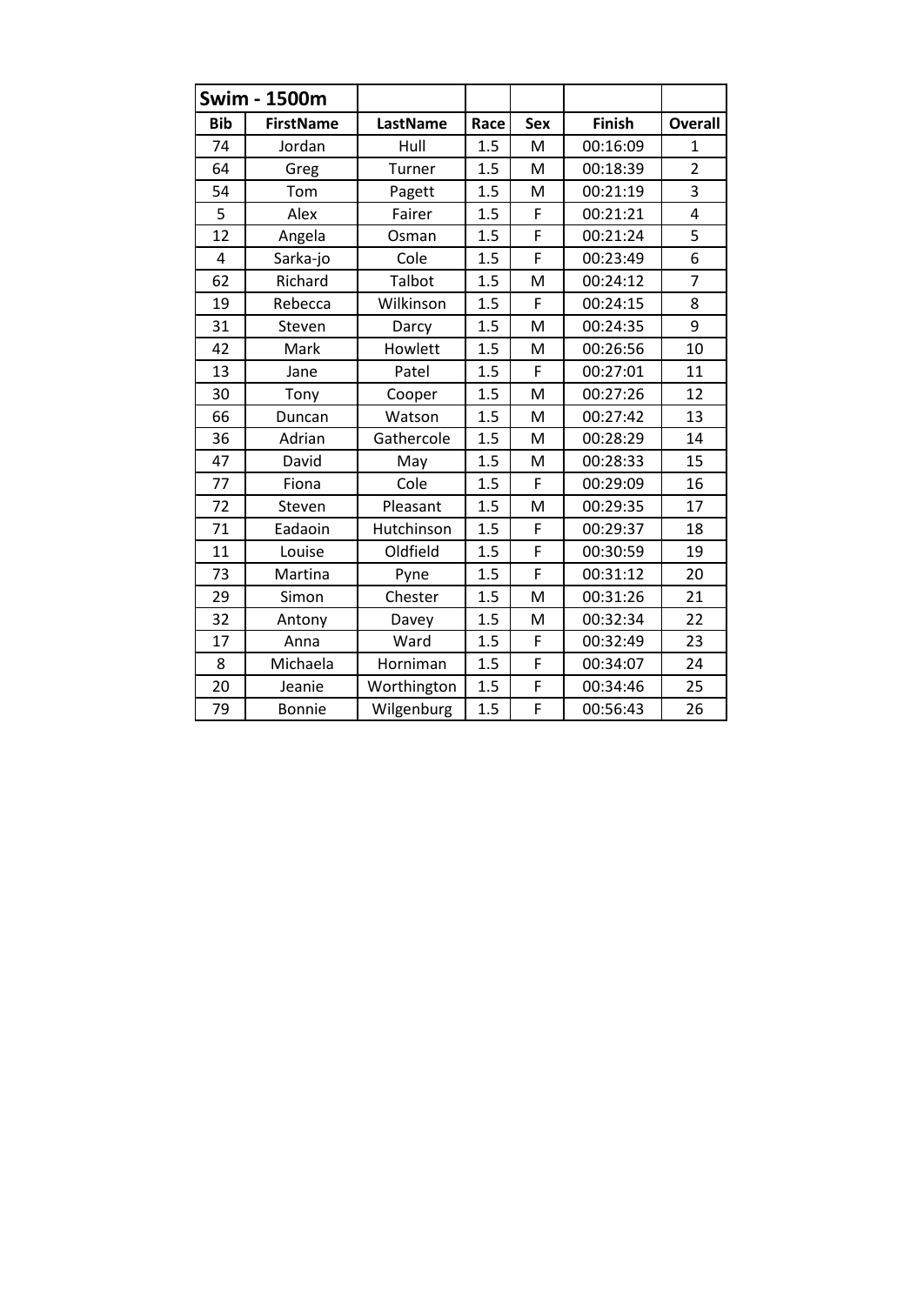|            | <b>Swim - 1500m</b> |             |      |     |               |                |
|------------|---------------------|-------------|------|-----|---------------|----------------|
| <b>Bib</b> | <b>FirstName</b>    | LastName    | Race | Sex | <b>Finish</b> | <b>Overall</b> |
| 74         | Jordan              | Hull        | 1.5  | M   | 00:16:09      | 1              |
| 64         | Greg                | Turner      | 1.5  | M   | 00:18:39      | $\overline{2}$ |
| 54         | Tom                 | Pagett      | 1.5  | M   | 00:21:19      | 3              |
| 5          | Alex                | Fairer      | 1.5  | F   | 00:21:21      | $\overline{4}$ |
| 12         | Angela              | Osman       | 1.5  | F   | 00:21:24      | 5              |
| 4          | Sarka-jo            | Cole        | 1.5  | F   | 00:23:49      | 6              |
| 62         | Richard             | Talbot      | 1.5  | M   | 00:24:12      | $\overline{7}$ |
| 19         | Rebecca             | Wilkinson   | 1.5  | F   | 00:24:15      | 8              |
| 31         | Steven              | Darcy       | 1.5  | M   | 00:24:35      | 9              |
| 42         | Mark                | Howlett     | 1.5  | M   | 00:26:56      | 10             |
| 13         | Jane                | Patel       | 1.5  | F   | 00:27:01      | 11             |
| 30         | Tony                | Cooper      | 1.5  | M   | 00:27:26      | 12             |
| 66         | Duncan              | Watson      | 1.5  | M   | 00:27:42      | 13             |
| 36         | Adrian              | Gathercole  | 1.5  | M   | 00:28:29      | 14             |
| 47         | David               | May         | 1.5  | M   | 00:28:33      | 15             |
| 77         | Fiona               | Cole        | 1.5  | F   | 00:29:09      | 16             |
| 72         | Steven              | Pleasant    | 1.5  | M   | 00:29:35      | 17             |
| 71         | Eadaoin             | Hutchinson  | 1.5  | F   | 00:29:37      | 18             |
| 11         | Louise              | Oldfield    | 1.5  | F   | 00:30:59      | 19             |
| 73         | Martina             | Pyne        | 1.5  | F   | 00:31:12      | 20             |
| 29         | Simon               | Chester     | 1.5  | M   | 00:31:26      | 21             |
| 32         | Antony              | Davey       | 1.5  | M   | 00:32:34      | 22             |
| 17         | Anna                | Ward        | 1.5  | F   | 00:32:49      | 23             |
| 8          | Michaela            | Horniman    | 1.5  | F   | 00:34:07      | 24             |
| 20         | Jeanie              | Worthington | 1.5  | F   | 00:34:46      | 25             |
| 79         | <b>Bonnie</b>       | Wilgenburg  | 1.5  | F   | 00:56:43      | 26             |